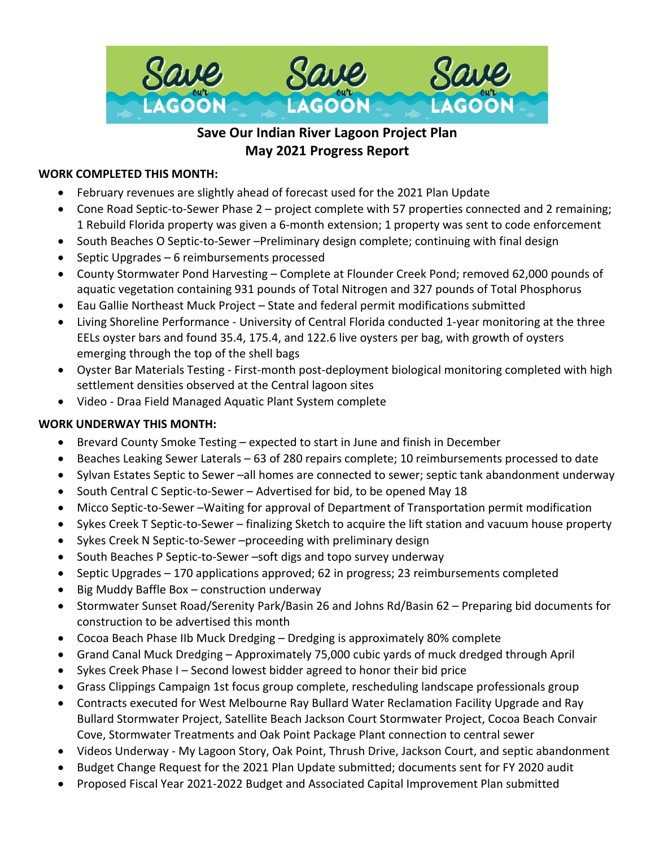

# **Save Our Indian River Lagoon Project Plan May 2021 Progress Report**

## **WORK COMPLETED THIS MONTH:**

- February revenues are slightly ahead of forecast used for the 2021 Plan Update
- Cone Road Septic-to-Sewer Phase 2 project complete with 57 properties connected and 2 remaining; 1 Rebuild Florida property was given a 6-month extension; 1 property was sent to code enforcement
- South Beaches O Septic-to-Sewer –Preliminary design complete; continuing with final design
- Septic Upgrades 6 reimbursements processed
- County Stormwater Pond Harvesting Complete at Flounder Creek Pond; removed 62,000 pounds of aquatic vegetation containing 931 pounds of Total Nitrogen and 327 pounds of Total Phosphorus
- Eau Gallie Northeast Muck Project State and federal permit modifications submitted
- Living Shoreline Performance University of Central Florida conducted 1-year monitoring at the three EELs oyster bars and found 35.4, 175.4, and 122.6 live oysters per bag, with growth of oysters emerging through the top of the shell bags
- Oyster Bar Materials Testing First-month post-deployment biological monitoring completed with high settlement densities observed at the Central lagoon sites
- Video Draa Field Managed Aquatic Plant System complete

# **WORK UNDERWAY THIS MONTH:**

- Brevard County Smoke Testing expected to start in June and finish in December
- Beaches Leaking Sewer Laterals 63 of 280 repairs complete; 10 reimbursements processed to date
- Sylvan Estates Septic to Sewer –all homes are connected to sewer; septic tank abandonment underway
- South Central C Septic-to-Sewer Advertised for bid, to be opened May 18
- Micco Septic-to-Sewer –Waiting for approval of Department of Transportation permit modification
- Sykes Creek T Septic-to-Sewer finalizing Sketch to acquire the lift station and vacuum house property
- Sykes Creek N Septic-to-Sewer –proceeding with preliminary design
- South Beaches P Septic-to-Sewer –soft digs and topo survey underway
- Septic Upgrades 170 applications approved; 62 in progress; 23 reimbursements completed
- Big Muddy Baffle Box construction underway
- Stormwater Sunset Road/Serenity Park/Basin 26 and Johns Rd/Basin 62 Preparing bid documents for construction to be advertised this month
- Cocoa Beach Phase IIb Muck Dredging Dredging is approximately 80% complete
- Grand Canal Muck Dredging Approximately 75,000 cubic yards of muck dredged through April
- Sykes Creek Phase I Second lowest bidder agreed to honor their bid price
- Grass Clippings Campaign 1st focus group complete, rescheduling landscape professionals group
- Contracts executed for West Melbourne Ray Bullard Water Reclamation Facility Upgrade and Ray Bullard Stormwater Project, Satellite Beach Jackson Court Stormwater Project, Cocoa Beach Convair Cove, Stormwater Treatments and Oak Point Package Plant connection to central sewer
- Videos Underway My Lagoon Story, Oak Point, Thrush Drive, Jackson Court, and septic abandonment
- Budget Change Request for the 2021 Plan Update submitted; documents sent for FY 2020 audit
- Proposed Fiscal Year 2021-2022 Budget and Associated Capital Improvement Plan submitted